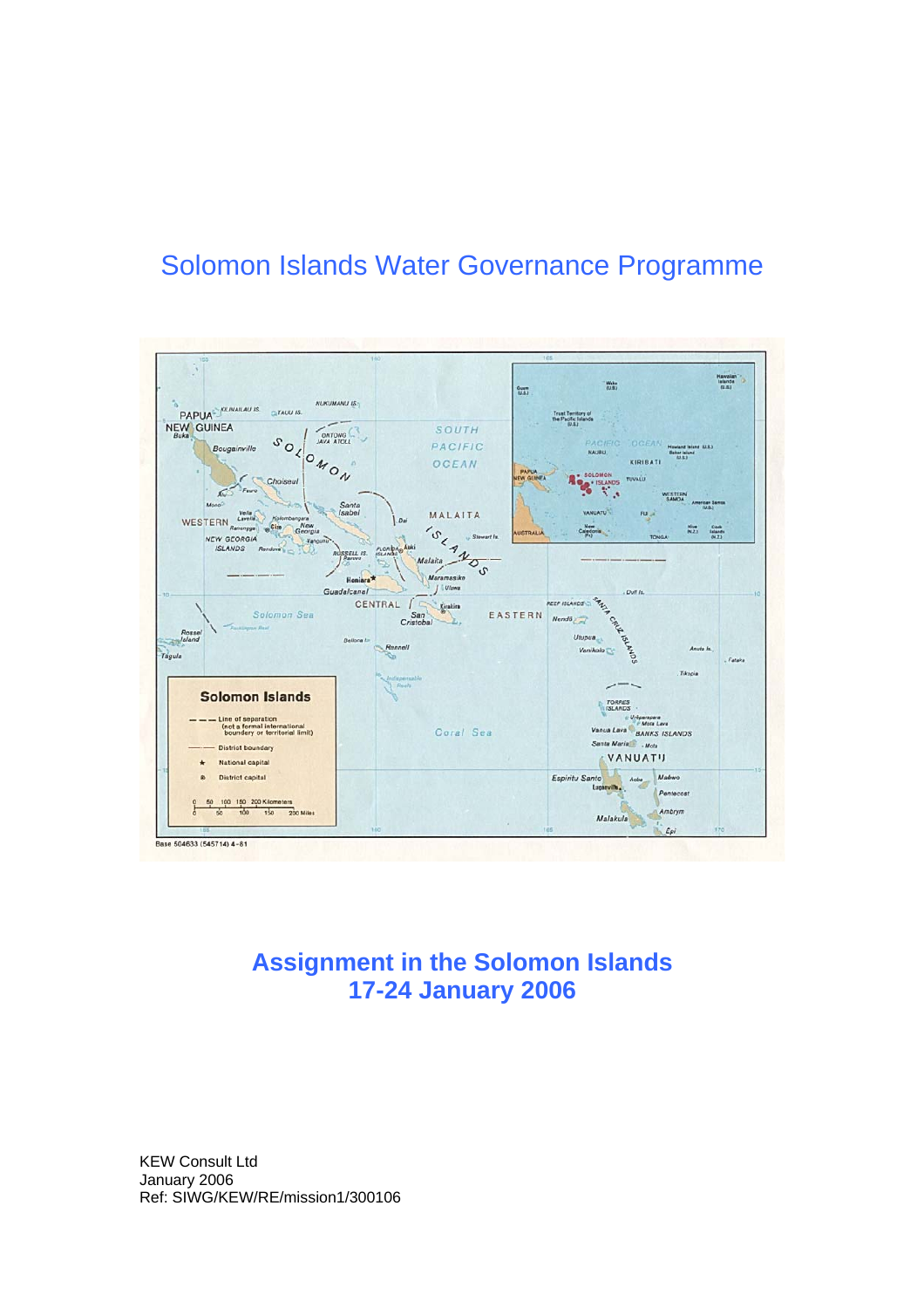# Solomon Islands Water Governance Programme



# **Assignment in the Solomon Islands 17-24 January 2006**

KEW Consult Ltd January 2006 Ref: SIWG/KEW/RE/mission1/300106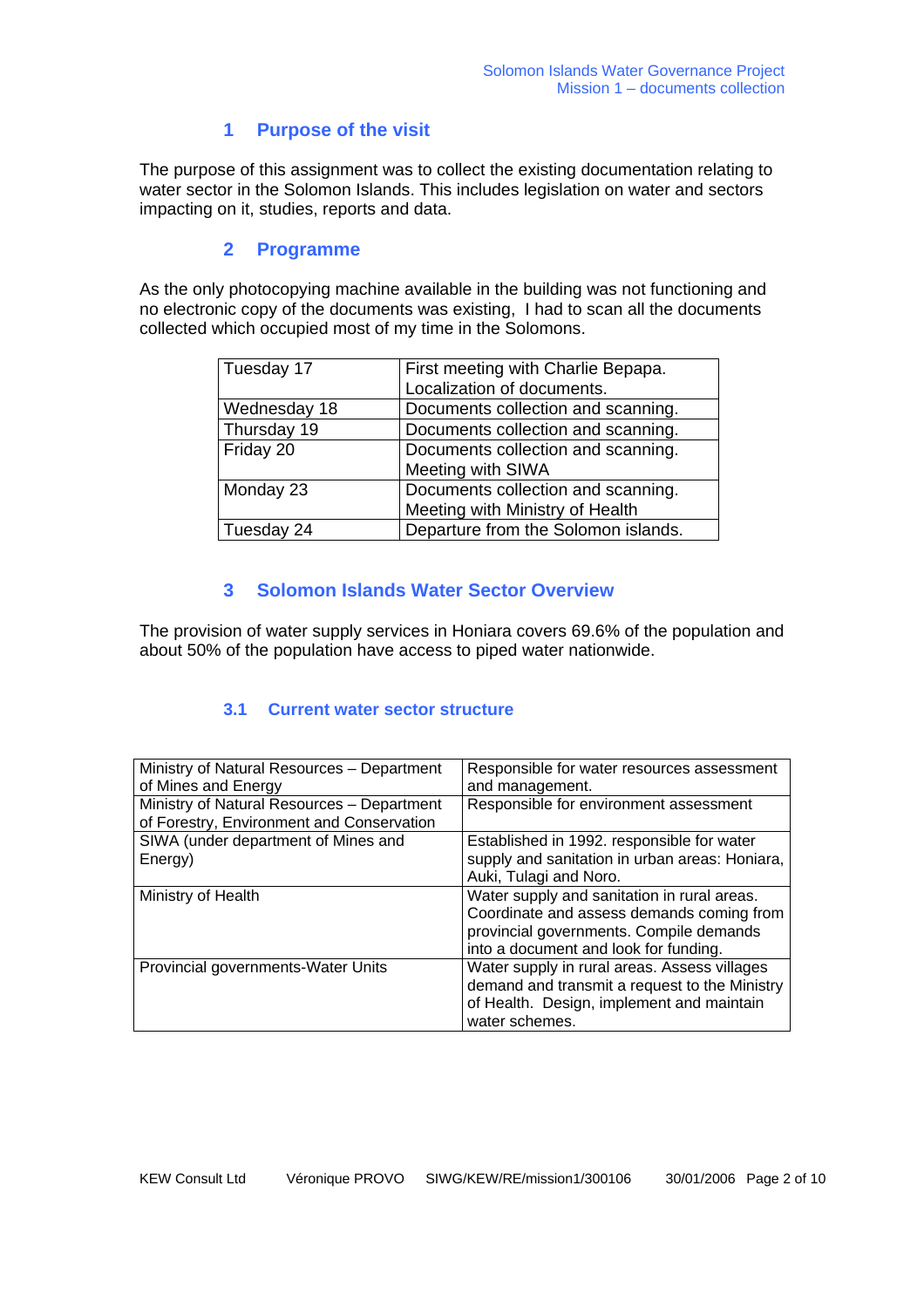# **1 Purpose of the visit**

The purpose of this assignment was to collect the existing documentation relating to water sector in the Solomon Islands. This includes legislation on water and sectors impacting on it, studies, reports and data.

# **2 Programme**

As the only photocopying machine available in the building was not functioning and no electronic copy of the documents was existing, I had to scan all the documents collected which occupied most of my time in the Solomons.

| Tuesday 17   | First meeting with Charlie Bepapa.  |
|--------------|-------------------------------------|
|              |                                     |
|              | Localization of documents.          |
| Wednesday 18 | Documents collection and scanning.  |
| Thursday 19  | Documents collection and scanning.  |
| Friday 20    | Documents collection and scanning.  |
|              | Meeting with SIWA                   |
| Monday 23    | Documents collection and scanning.  |
|              | Meeting with Ministry of Health     |
| Tuesday 24   | Departure from the Solomon islands. |

# **3 Solomon Islands Water Sector Overview**

The provision of water supply services in Honiara covers 69.6% of the population and about 50% of the population have access to piped water nationwide.

### **3.1 Current water sector structure**

| Ministry of Natural Resources - Department | Responsible for water resources assessment     |
|--------------------------------------------|------------------------------------------------|
| of Mines and Energy                        | and management.                                |
| Ministry of Natural Resources - Department | Responsible for environment assessment         |
| of Forestry, Environment and Conservation  |                                                |
| SIWA (under department of Mines and        | Established in 1992. responsible for water     |
| Energy)                                    | supply and sanitation in urban areas: Honiara, |
|                                            | Auki, Tulagi and Noro.                         |
| Ministry of Health                         | Water supply and sanitation in rural areas.    |
|                                            | Coordinate and assess demands coming from      |
|                                            | provincial governments. Compile demands        |
|                                            | into a document and look for funding.          |
| Provincial governments-Water Units         | Water supply in rural areas. Assess villages   |
|                                            | demand and transmit a request to the Ministry  |
|                                            | of Health. Design, implement and maintain      |
|                                            | water schemes.                                 |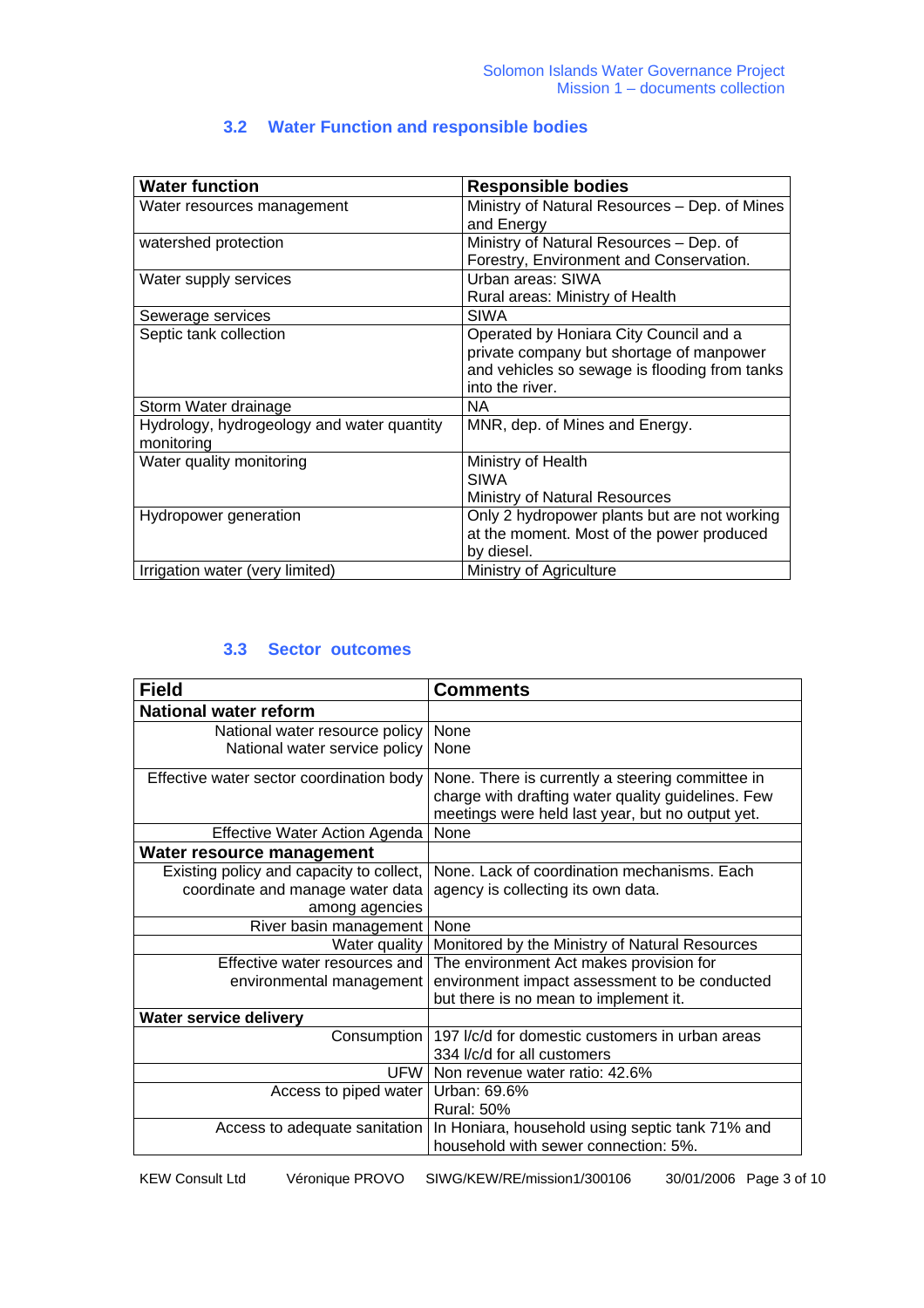# **3.2 Water Function and responsible bodies**

| <b>Water function</b>                      | <b>Responsible bodies</b>                     |
|--------------------------------------------|-----------------------------------------------|
| Water resources management                 | Ministry of Natural Resources – Dep. of Mines |
|                                            | and Energy                                    |
| watershed protection                       | Ministry of Natural Resources - Dep. of       |
|                                            | Forestry, Environment and Conservation.       |
| Water supply services                      | Urban areas: SIWA                             |
|                                            | Rural areas: Ministry of Health               |
| Sewerage services                          | <b>SIWA</b>                                   |
| Septic tank collection                     | Operated by Honiara City Council and a        |
|                                            | private company but shortage of manpower      |
|                                            | and vehicles so sewage is flooding from tanks |
|                                            | into the river.                               |
| Storm Water drainage                       | <b>NA</b>                                     |
| Hydrology, hydrogeology and water quantity | MNR, dep. of Mines and Energy.                |
| monitoring                                 |                                               |
| Water quality monitoring                   | Ministry of Health                            |
|                                            | <b>SIWA</b>                                   |
|                                            | <b>Ministry of Natural Resources</b>          |
| Hydropower generation                      | Only 2 hydropower plants but are not working  |
|                                            | at the moment. Most of the power produced     |
|                                            | by diesel.                                    |
| Irrigation water (very limited)            | Ministry of Agriculture                       |

### **3.3 Sector outcomes**

| <b>Field</b>                             | <b>Comments</b>                                                                                                                                            |
|------------------------------------------|------------------------------------------------------------------------------------------------------------------------------------------------------------|
| <b>National water reform</b>             |                                                                                                                                                            |
| National water resource policy           | None                                                                                                                                                       |
| National water service policy            | None                                                                                                                                                       |
| Effective water sector coordination body | None. There is currently a steering committee in<br>charge with drafting water quality guidelines. Few<br>meetings were held last year, but no output yet. |
| Effective Water Action Agenda            | None                                                                                                                                                       |
| Water resource management                |                                                                                                                                                            |
| Existing policy and capacity to collect, | None. Lack of coordination mechanisms. Each                                                                                                                |
| coordinate and manage water data         | agency is collecting its own data.                                                                                                                         |
| among agencies                           |                                                                                                                                                            |
| River basin management                   | None                                                                                                                                                       |
| Water quality                            | Monitored by the Ministry of Natural Resources                                                                                                             |
| Effective water resources and            | The environment Act makes provision for                                                                                                                    |
| environmental management                 | environment impact assessment to be conducted                                                                                                              |
|                                          | but there is no mean to implement it.                                                                                                                      |
| Water service delivery                   |                                                                                                                                                            |
| Consumption                              | 197 I/c/d for domestic customers in urban areas<br>334 I/c/d for all customers                                                                             |
| <b>UFW</b>                               | Non revenue water ratio: 42.6%                                                                                                                             |
| Access to piped water                    | Urban: 69.6%                                                                                                                                               |
|                                          | <b>Rural: 50%</b>                                                                                                                                          |
| Access to adequate sanitation            | In Honiara, household using septic tank 71% and<br>household with sewer connection: 5%.                                                                    |

KEW Consult Ltd Véronique PROVO SIWG/KEW/RE/mission1/300106 30/01/2006 Page 3 of 10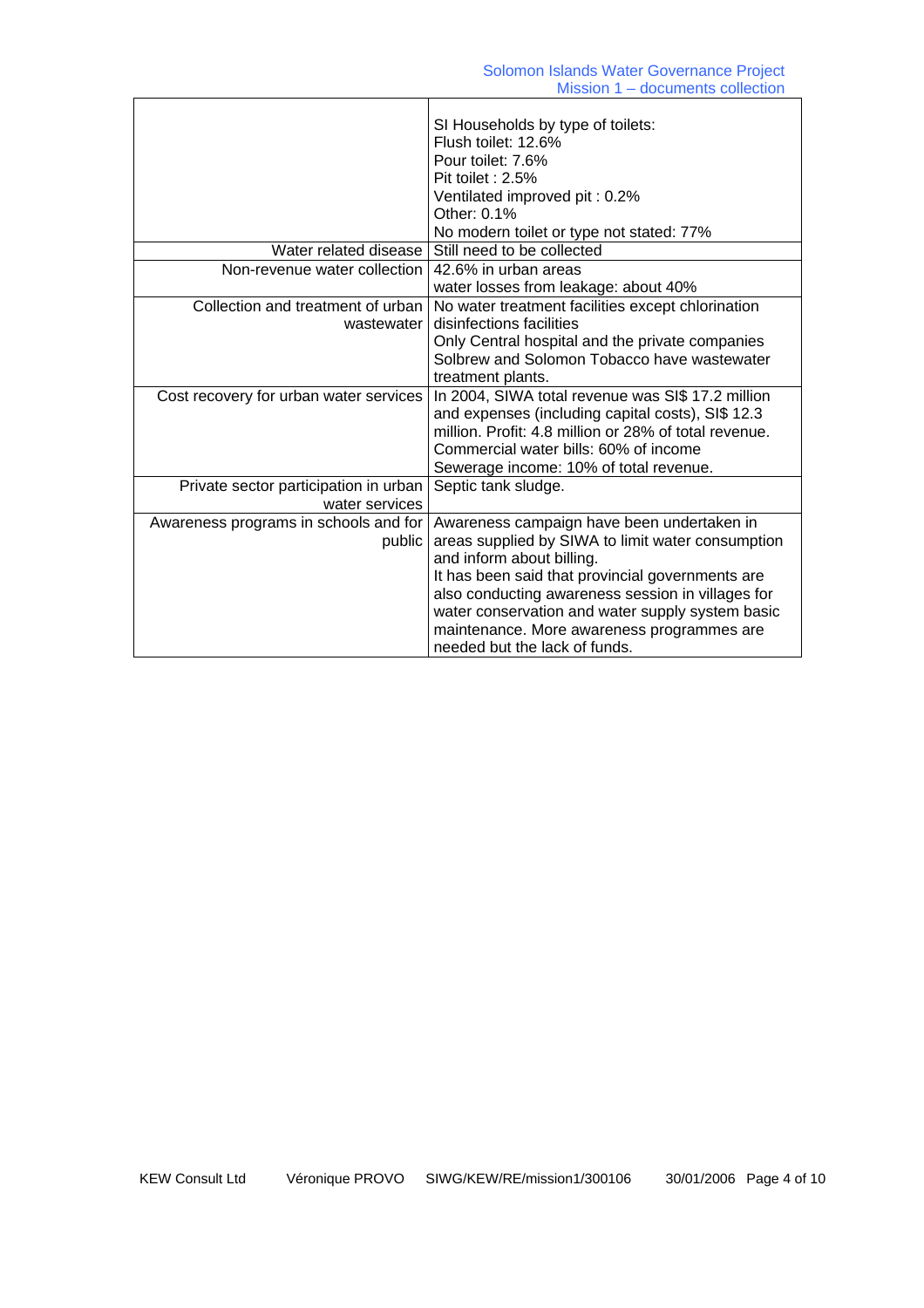|                                                         | SI Households by type of toilets:<br>Flush toilet: 12.6%<br>Pour toilet: 7.6%<br>Pit toilet: 2.5%<br>Ventilated improved pit: 0.2%<br>Other: $0.1\%$<br>No modern toilet or type not stated: 77%                                                                                                                                                                         |
|---------------------------------------------------------|--------------------------------------------------------------------------------------------------------------------------------------------------------------------------------------------------------------------------------------------------------------------------------------------------------------------------------------------------------------------------|
| Water related disease                                   | Still need to be collected                                                                                                                                                                                                                                                                                                                                               |
| Non-revenue water collection                            | 42.6% in urban areas<br>water losses from leakage: about 40%                                                                                                                                                                                                                                                                                                             |
| Collection and treatment of urban<br>wastewater         | No water treatment facilities except chlorination<br>disinfections facilities<br>Only Central hospital and the private companies<br>Solbrew and Solomon Tobacco have wastewater<br>treatment plants.                                                                                                                                                                     |
| Cost recovery for urban water services                  | In 2004, SIWA total revenue was SI\$ 17.2 million<br>and expenses (including capital costs), SI\$ 12.3<br>million. Profit: 4.8 million or 28% of total revenue.<br>Commercial water bills: 60% of income<br>Sewerage income: 10% of total revenue.                                                                                                                       |
| Private sector participation in urban<br>water services | Septic tank sludge.                                                                                                                                                                                                                                                                                                                                                      |
| Awareness programs in schools and for<br>public         | Awareness campaign have been undertaken in<br>areas supplied by SIWA to limit water consumption<br>and inform about billing.<br>It has been said that provincial governments are<br>also conducting awareness session in villages for<br>water conservation and water supply system basic<br>maintenance. More awareness programmes are<br>needed but the lack of funds. |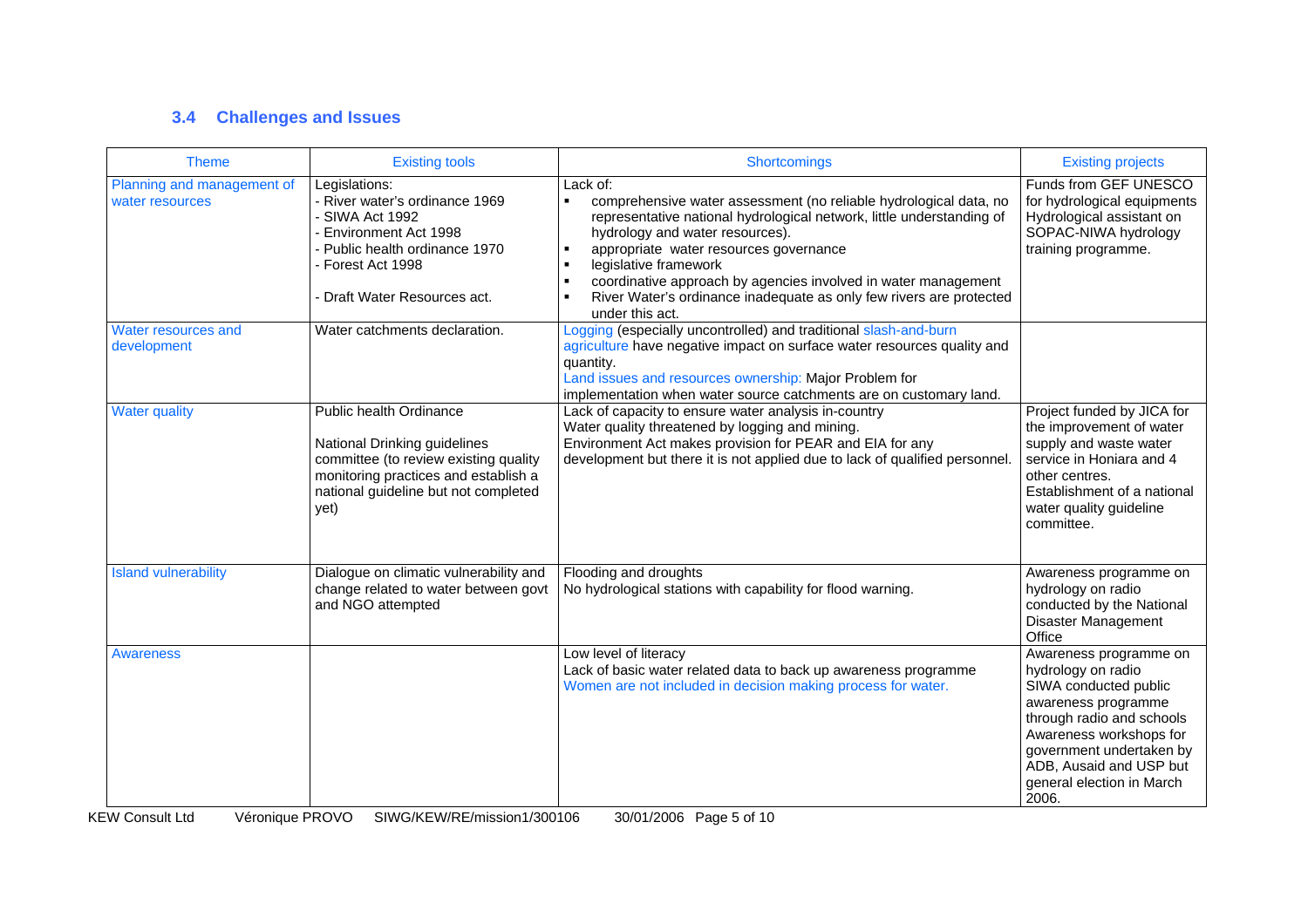# **3.4 Challenges and Issues**

| <b>Theme</b>                                  | <b>Existing tools</b>                                                                                                                                                                    | <b>Shortcomings</b>                                                                                                                                                                                                                                                                                                                                                                                                                                                            | <b>Existing projects</b>                                                                                                                                                                                                                          |
|-----------------------------------------------|------------------------------------------------------------------------------------------------------------------------------------------------------------------------------------------|--------------------------------------------------------------------------------------------------------------------------------------------------------------------------------------------------------------------------------------------------------------------------------------------------------------------------------------------------------------------------------------------------------------------------------------------------------------------------------|---------------------------------------------------------------------------------------------------------------------------------------------------------------------------------------------------------------------------------------------------|
| Planning and management of<br>water resources | Legislations:<br>- River water's ordinance 1969<br>SIWA Act 1992<br>Environment Act 1998<br>Public health ordinance 1970<br>- Forest Act 1998<br>- Draft Water Resources act.            | Lack of:<br>$\blacksquare$<br>comprehensive water assessment (no reliable hydrological data, no<br>representative national hydrological network, little understanding of<br>hydrology and water resources).<br>appropriate water resources governance<br>legislative framework<br>$\blacksquare$<br>coordinative approach by agencies involved in water management<br>$\blacksquare$<br>River Water's ordinance inadequate as only few rivers are protected<br>under this act. | Funds from GEF UNESCO<br>for hydrological equipments<br>Hydrological assistant on<br>SOPAC-NIWA hydrology<br>training programme.                                                                                                                  |
| Water resources and<br>development            | Water catchments declaration.                                                                                                                                                            | Logging (especially uncontrolled) and traditional slash-and-burn<br>agriculture have negative impact on surface water resources quality and<br>quantity.<br>Land issues and resources ownership: Major Problem for<br>implementation when water source catchments are on customary land.                                                                                                                                                                                       |                                                                                                                                                                                                                                                   |
| <b>Water quality</b>                          | Public health Ordinance<br>National Drinking guidelines<br>committee (to review existing quality<br>monitoring practices and establish a<br>national guideline but not completed<br>yet) | Lack of capacity to ensure water analysis in-country<br>Water quality threatened by logging and mining.<br>Environment Act makes provision for PEAR and EIA for any<br>development but there it is not applied due to lack of qualified personnel.                                                                                                                                                                                                                             | Project funded by JICA for<br>the improvement of water<br>supply and waste water<br>service in Honiara and 4<br>other centres.<br>Establishment of a national<br>water quality guideline<br>committee.                                            |
| <b>Island vulnerability</b>                   | Dialogue on climatic vulnerability and<br>change related to water between govt<br>and NGO attempted                                                                                      | Flooding and droughts<br>No hydrological stations with capability for flood warning.                                                                                                                                                                                                                                                                                                                                                                                           | Awareness programme on<br>hydrology on radio<br>conducted by the National<br>Disaster Management<br>Office                                                                                                                                        |
| Awareness                                     |                                                                                                                                                                                          | Low level of literacy<br>Lack of basic water related data to back up awareness programme<br>Women are not included in decision making process for water.                                                                                                                                                                                                                                                                                                                       | Awareness programme on<br>hydrology on radio<br>SIWA conducted public<br>awareness programme<br>through radio and schools<br>Awareness workshops for<br>government undertaken by<br>ADB, Ausaid and USP but<br>general election in March<br>2006. |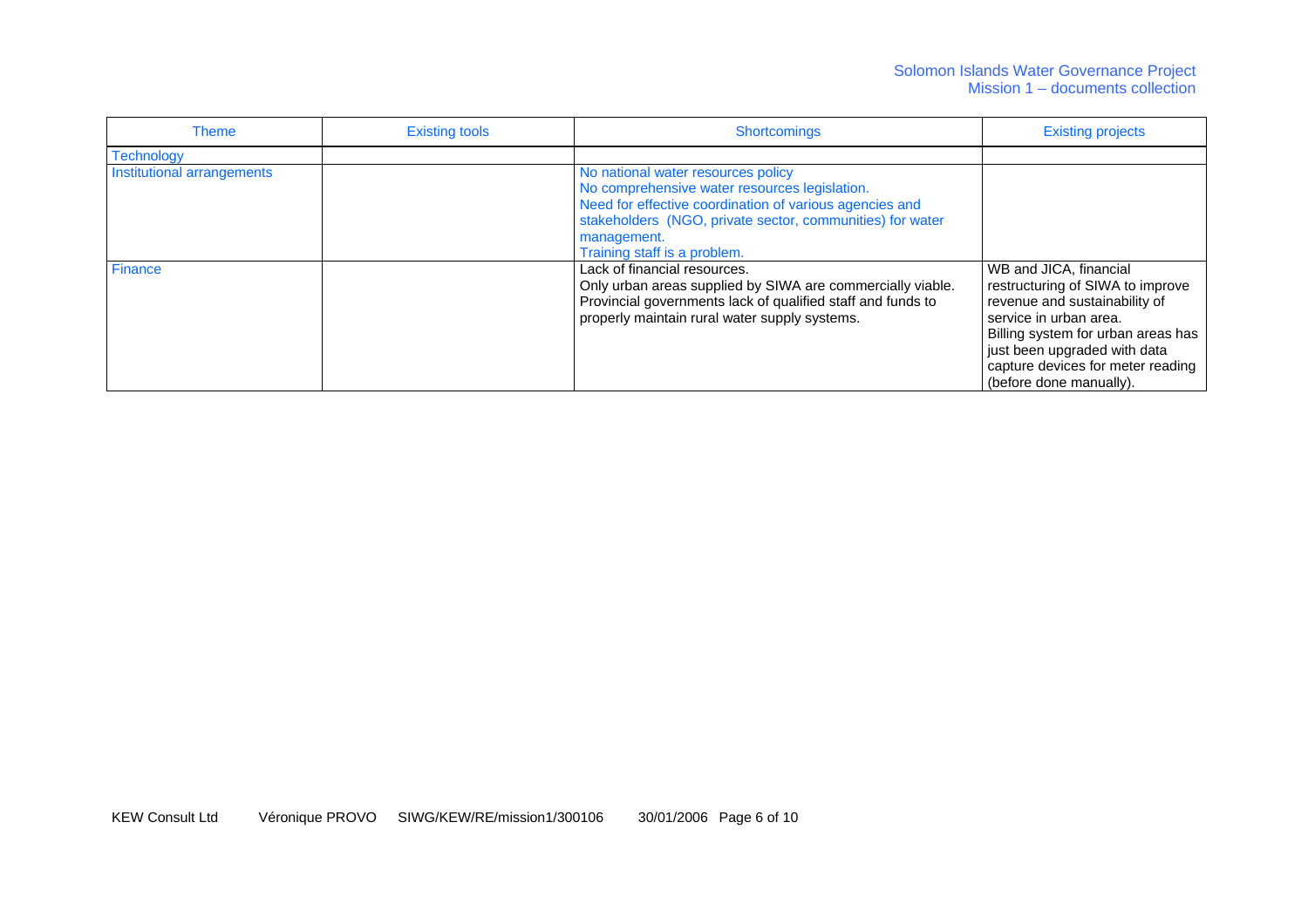#### Solomon Islands Water Governance Project Mission 1 – documents collection

| <b>Theme</b>               | <b>Existing tools</b> | <b>Shortcomings</b>                                                                                                                                                                                                                                        | <b>Existing projects</b>                                                                                                                                                                                                                                    |
|----------------------------|-----------------------|------------------------------------------------------------------------------------------------------------------------------------------------------------------------------------------------------------------------------------------------------------|-------------------------------------------------------------------------------------------------------------------------------------------------------------------------------------------------------------------------------------------------------------|
| <b>Technology</b>          |                       |                                                                                                                                                                                                                                                            |                                                                                                                                                                                                                                                             |
| Institutional arrangements |                       | No national water resources policy<br>No comprehensive water resources legislation.<br>Need for effective coordination of various agencies and<br>stakeholders (NGO, private sector, communities) for water<br>management.<br>Training staff is a problem. |                                                                                                                                                                                                                                                             |
| <b>Finance</b>             |                       | Lack of financial resources.<br>Only urban areas supplied by SIWA are commercially viable.<br>Provincial governments lack of qualified staff and funds to<br>properly maintain rural water supply systems.                                                 | WB and JICA, financial<br>restructuring of SIWA to improve<br>revenue and sustainability of<br>service in urban area.<br>Billing system for urban areas has<br>just been upgraded with data<br>capture devices for meter reading<br>(before done manually). |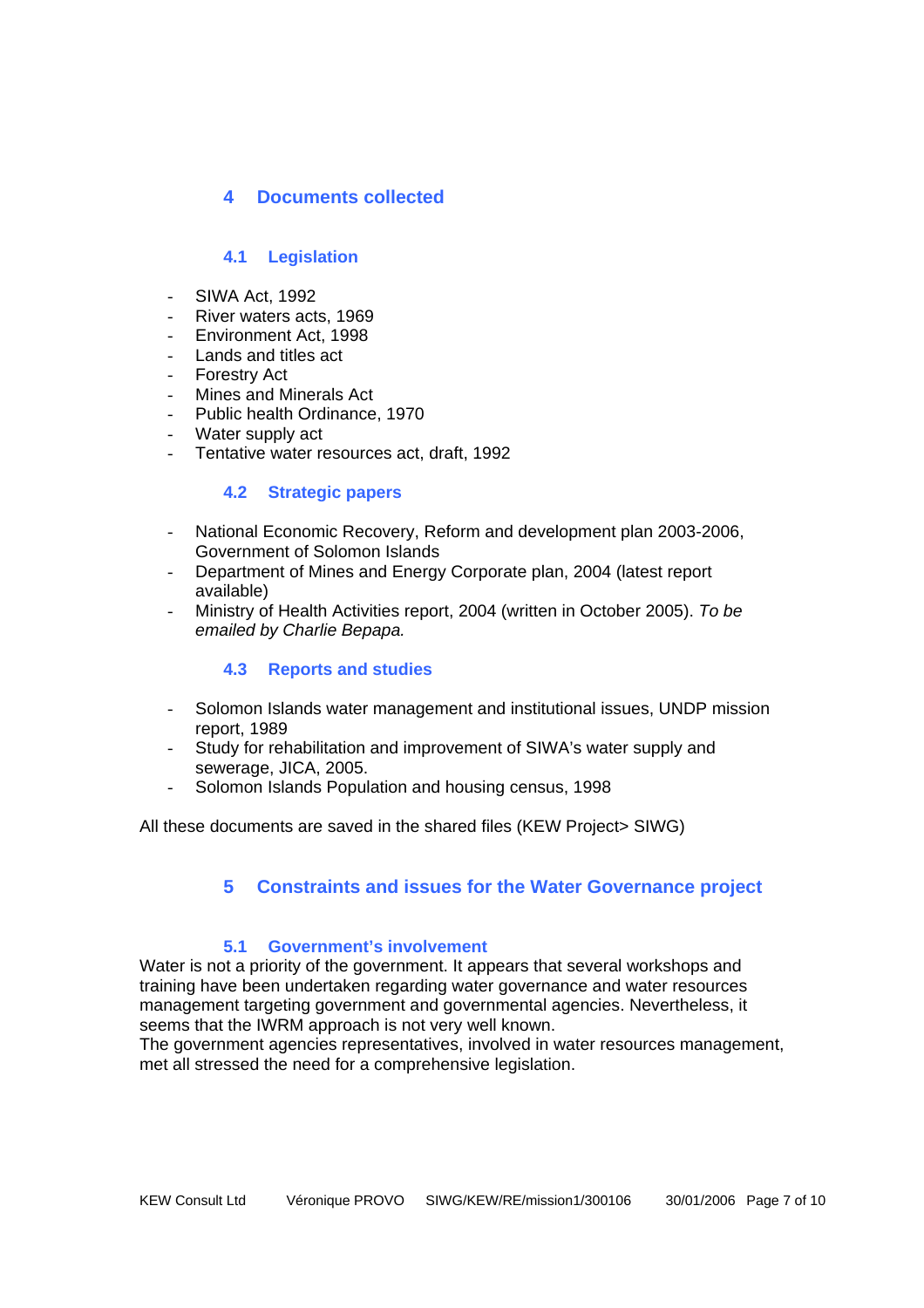## **4 Documents collected**

## **4.1 Legislation**

- SIWA Act, 1992
- River waters acts, 1969
- Environment Act, 1998
- Lands and titles act
- **Forestry Act**
- Mines and Minerals Act
- Public health Ordinance, 1970
- Water supply act
- Tentative water resources act, draft, 1992

#### **4.2 Strategic papers**

- National Economic Recovery, Reform and development plan 2003-2006, Government of Solomon Islands
- Department of Mines and Energy Corporate plan, 2004 (latest report available)
- Ministry of Health Activities report, 2004 (written in October 2005). *To be emailed by Charlie Bepapa.*

### **4.3 Reports and studies**

- Solomon Islands water management and institutional issues, UNDP mission report, 1989
- Study for rehabilitation and improvement of SIWA's water supply and sewerage, JICA, 2005.
- Solomon Islands Population and housing census, 1998

All these documents are saved in the shared files (KEW Project> SIWG)

# **5 Constraints and issues for the Water Governance project**

### **5.1 Government's involvement**

Water is not a priority of the government. It appears that several workshops and training have been undertaken regarding water governance and water resources management targeting government and governmental agencies. Nevertheless, it seems that the IWRM approach is not very well known.

The government agencies representatives, involved in water resources management, met all stressed the need for a comprehensive legislation.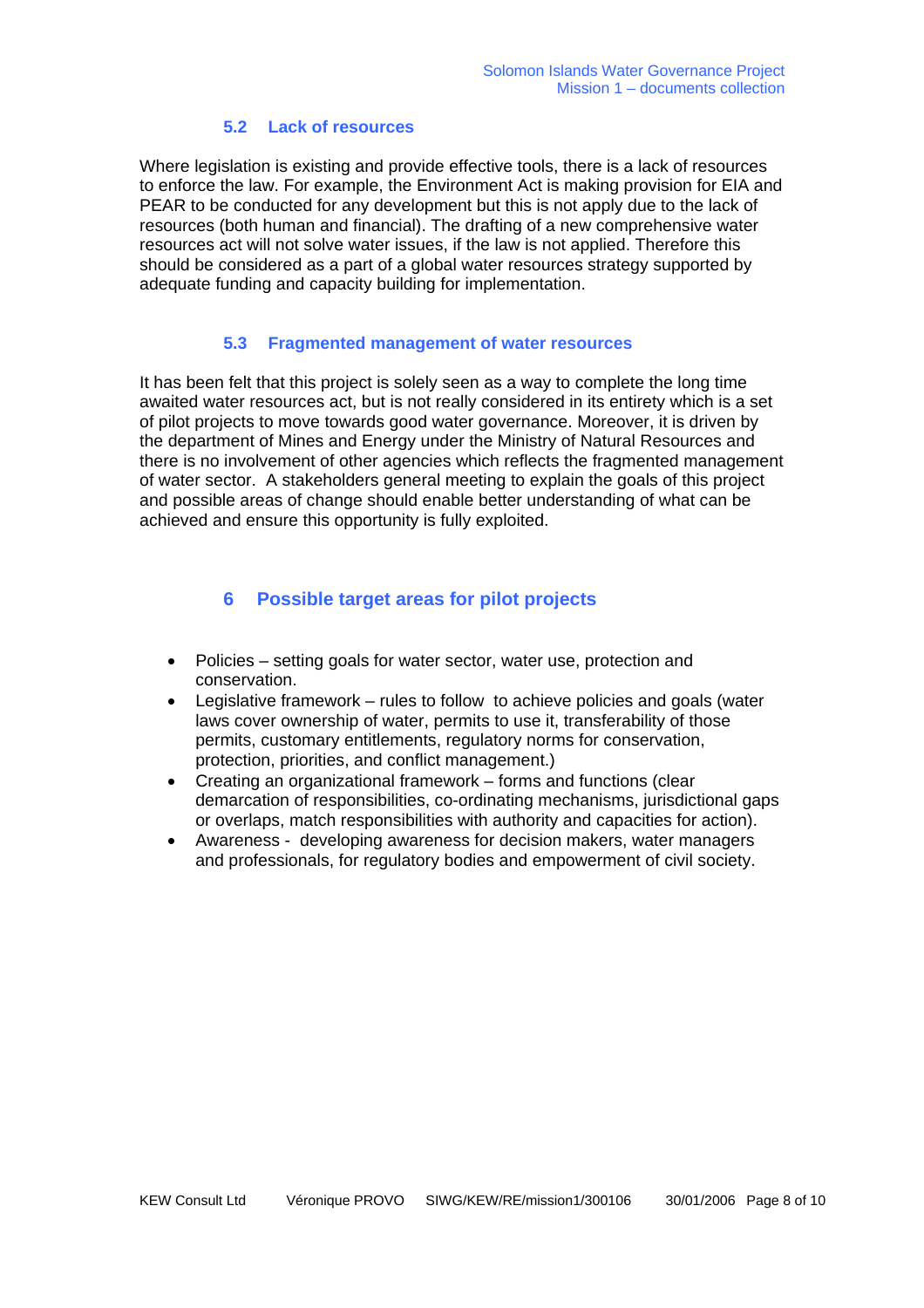#### **5.2 Lack of resources**

Where legislation is existing and provide effective tools, there is a lack of resources to enforce the law. For example, the Environment Act is making provision for EIA and PEAR to be conducted for any development but this is not apply due to the lack of resources (both human and financial). The drafting of a new comprehensive water resources act will not solve water issues, if the law is not applied. Therefore this should be considered as a part of a global water resources strategy supported by adequate funding and capacity building for implementation.

#### **5.3 Fragmented management of water resources**

It has been felt that this project is solely seen as a way to complete the long time awaited water resources act, but is not really considered in its entirety which is a set of pilot projects to move towards good water governance. Moreover, it is driven by the department of Mines and Energy under the Ministry of Natural Resources and there is no involvement of other agencies which reflects the fragmented management of water sector. A stakeholders general meeting to explain the goals of this project and possible areas of change should enable better understanding of what can be achieved and ensure this opportunity is fully exploited.

## **6 Possible target areas for pilot projects**

- Policies setting goals for water sector, water use, protection and conservation.
- Legislative framework rules to follow to achieve policies and goals (water laws cover ownership of water, permits to use it, transferability of those permits, customary entitlements, regulatory norms for conservation, protection, priorities, and conflict management.)
- Creating an organizational framework forms and functions (clear demarcation of responsibilities, co-ordinating mechanisms, jurisdictional gaps or overlaps, match responsibilities with authority and capacities for action).
- Awareness developing awareness for decision makers, water managers and professionals, for regulatory bodies and empowerment of civil society.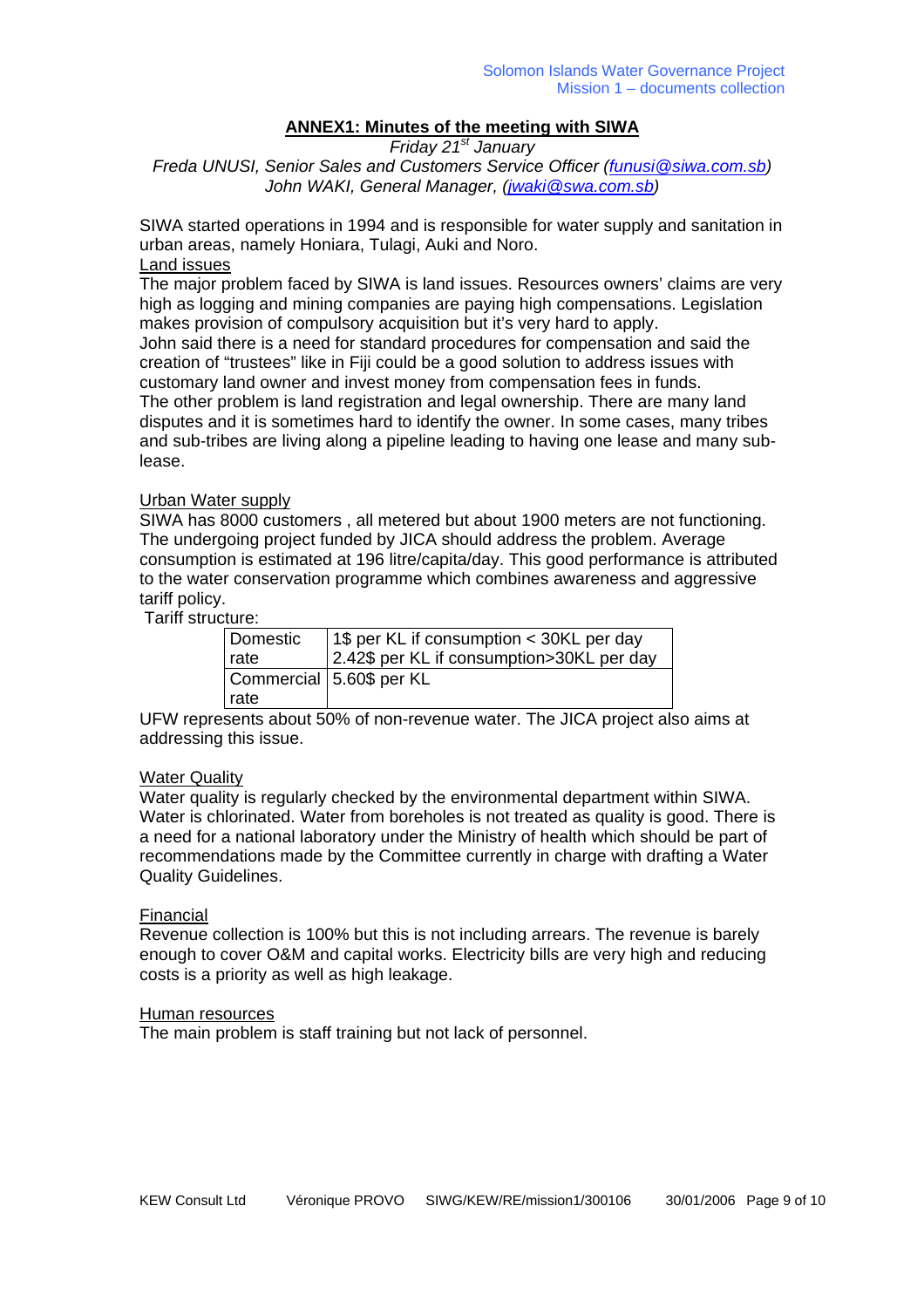### **ANNEX1: Minutes of the meeting with SIWA**

*Friday 21st January* 

*Freda UNUSI, Senior Sales and Customers Service Officer [\(funusi@siwa.com.sb](mailto:funusi@siwa.com.sb)) John WAKI, General Manager, [\(jwaki@swa.com.sb\)](mailto:jwaki@swa.com.sb)*

SIWA started operations in 1994 and is responsible for water supply and sanitation in urban areas, namely Honiara, Tulagi, Auki and Noro.

# Land issues

The major problem faced by SIWA is land issues. Resources owners' claims are very high as logging and mining companies are paying high compensations. Legislation makes provision of compulsory acquisition but it's very hard to apply. John said there is a need for standard procedures for compensation and said the creation of "trustees" like in Fiji could be a good solution to address issues with customary land owner and invest money from compensation fees in funds. The other problem is land registration and legal ownership. There are many land disputes and it is sometimes hard to identify the owner. In some cases, many tribes and sub-tribes are living along a pipeline leading to having one lease and many sublease.

#### Urban Water supply

SIWA has 8000 customers , all metered but about 1900 meters are not functioning. The undergoing project funded by JICA should address the problem. Average consumption is estimated at 196 litre/capita/day. This good performance is attributed to the water conservation programme which combines awareness and aggressive tariff policy.

Tariff structure:

| Domestic | 1\$ per KL if consumption < 30KL per day  |
|----------|-------------------------------------------|
| rate     | 2.42\$ per KL if consumption>30KL per day |
|          | Commercial 5.60\$ per KL                  |
| rate     |                                           |

UFW represents about 50% of non-revenue water. The JICA project also aims at addressing this issue.

#### Water Quality

Water quality is regularly checked by the environmental department within SIWA. Water is chlorinated. Water from boreholes is not treated as quality is good. There is a need for a national laboratory under the Ministry of health which should be part of recommendations made by the Committee currently in charge with drafting a Water Quality Guidelines.

#### Financial

Revenue collection is 100% but this is not including arrears. The revenue is barely enough to cover O&M and capital works. Electricity bills are very high and reducing costs is a priority as well as high leakage.

#### Human resources

The main problem is staff training but not lack of personnel.